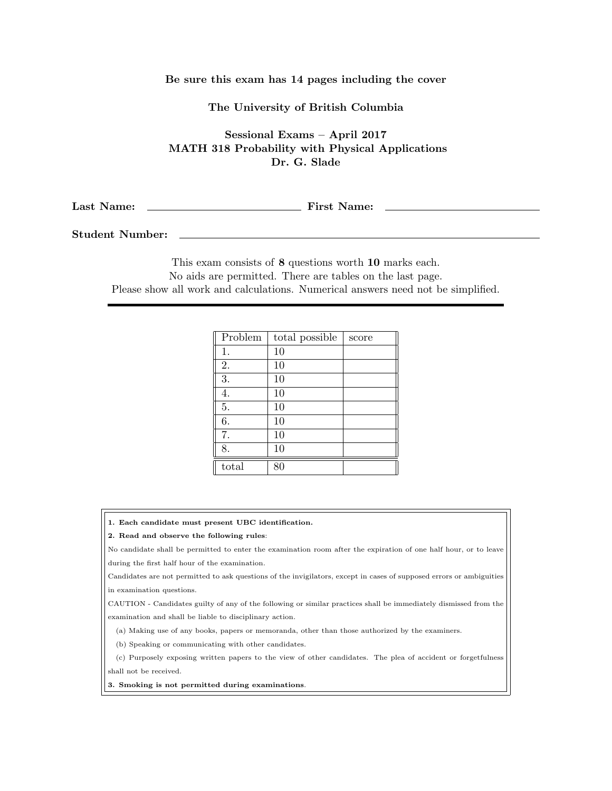## Be sure this exam has 14 pages including the cover

The University of British Columbia

Sessional Exams – April 2017 MATH 318 Probability with Physical Applications Dr. G. Slade

Last Name: First Name:

Student Number:

This exam consists of 8 questions worth 10 marks each. No aids are permitted. There are tables on the last page. Please show all work and calculations. Numerical answers need not be simplified.

| Problem | total possible | score |
|---------|----------------|-------|
| 1.      | 10             |       |
| 2.      | 10             |       |
| 3.      | 10             |       |
| 4.      | 10             |       |
| 5.      | 10             |       |
| 6.      | 10             |       |
| 7.      | 10             |       |
| 8.      | 10             |       |
| total   | 80             |       |

1. Each candidate must present UBC identification.

## 2. Read and observe the following rules:

No candidate shall be permitted to enter the examination room after the expiration of one half hour, or to leave during the first half hour of the examination.

Candidates are not permitted to ask questions of the invigilators, except in cases of supposed errors or ambiguities in examination questions.

CAUTION - Candidates guilty of any of the following or similar practices shall be immediately dismissed from the examination and shall be liable to disciplinary action.

(a) Making use of any books, papers or memoranda, other than those authorized by the examiners.

(b) Speaking or communicating with other candidates.

(c) Purposely exposing written papers to the view of other candidates. The plea of accident or forgetfulness shall not be received.

3. Smoking is not permitted during examinations.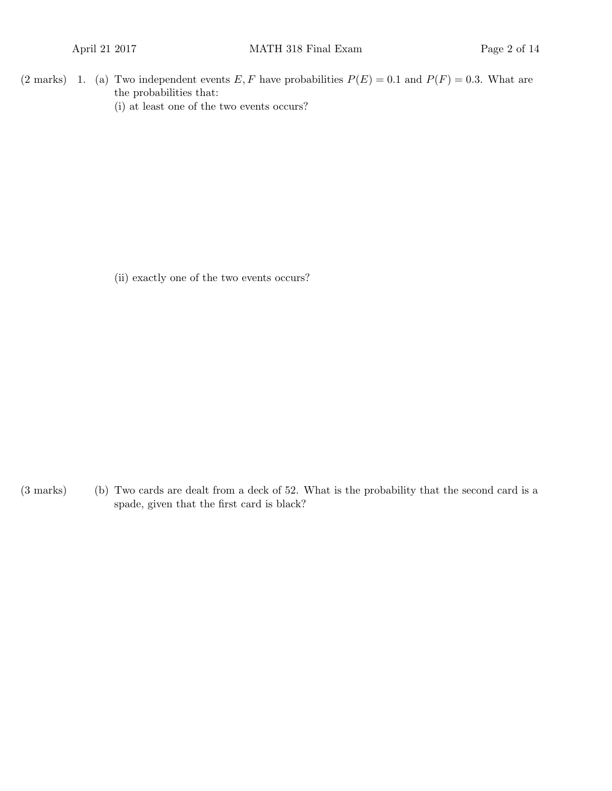(2 marks) 1. (a) Two independent events E, F have probabilities  $P(E) = 0.1$  and  $P(F) = 0.3$ . What are the probabilities that: (i) at least one of the two events occurs?

(ii) exactly one of the two events occurs?

(b)(3 marks) Two cards are dealt from a deck of 52. What is the probability that the second card is a spade, given that the first card is black?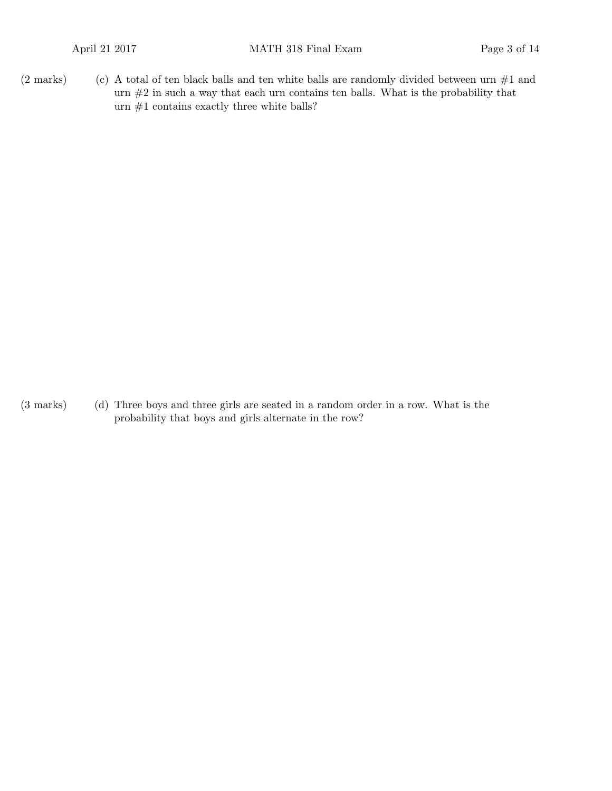(2 marks) (c) A total of ten black balls and ten white balls are randomly divided between urn  $#1$  and urn #2 in such a way that each urn contains ten balls. What is the probability that urn  $#1$  contains exactly three white balls?

(3 marks) (d) Three boys and three girls are seated in a random order in a row. What is the probability that boys and girls alternate in the row?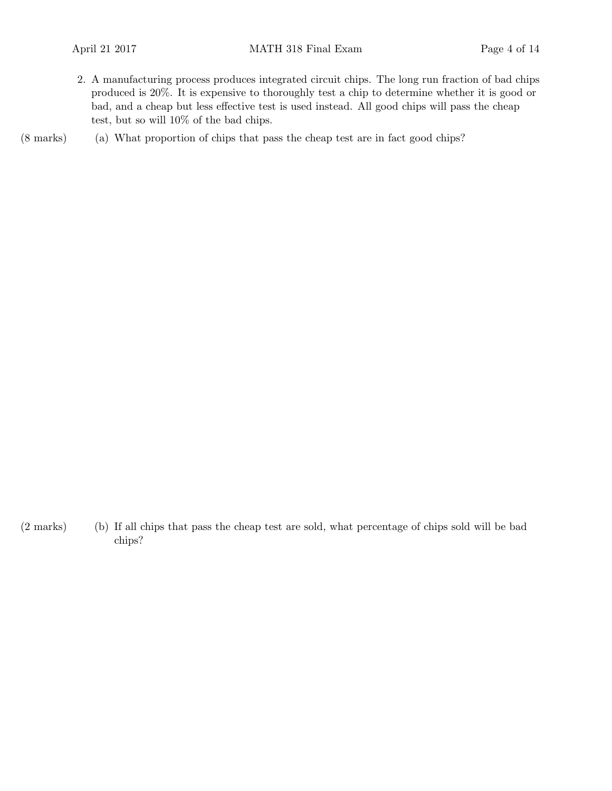- 2. A manufacturing process produces integrated circuit chips. The long run fraction of bad chips produced is 20%. It is expensive to thoroughly test a chip to determine whether it is good or bad, and a cheap but less effective test is used instead. All good chips will pass the cheap test, but so will 10% of the bad chips.
- (8 marks) (a) What proportion of chips that pass the cheap test are in fact good chips?

(b)(2 marks) If all chips that pass the cheap test are sold, what percentage of chips sold will be bad chips?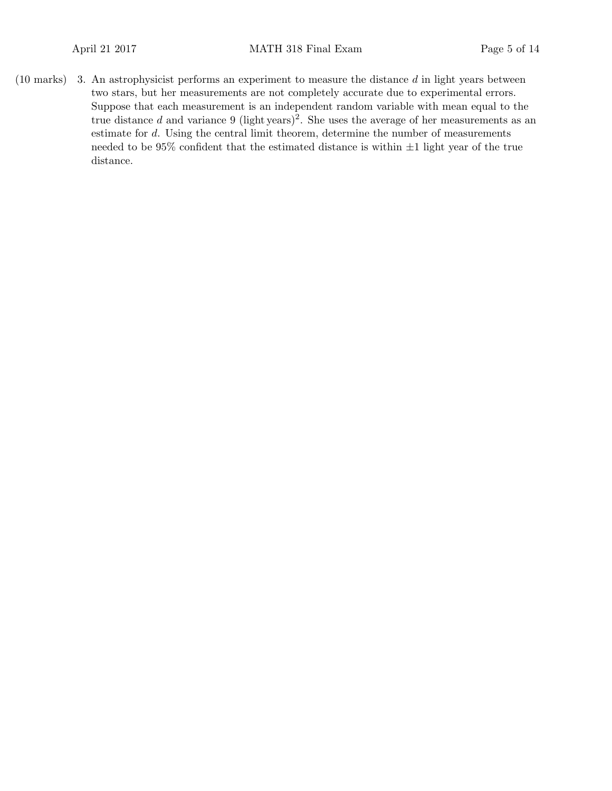$(10 \text{ marks})$  3. An astrophysicist performs an experiment to measure the distance d in light years between two stars, but her measurements are not completely accurate due to experimental errors. Suppose that each measurement is an independent random variable with mean equal to the true distance d and variance 9 (light years)<sup>2</sup>. She uses the average of her measurements as an estimate for d. Using the central limit theorem, determine the number of measurements needed to be  $95\%$  confident that the estimated distance is within  $\pm 1$  light year of the true distance.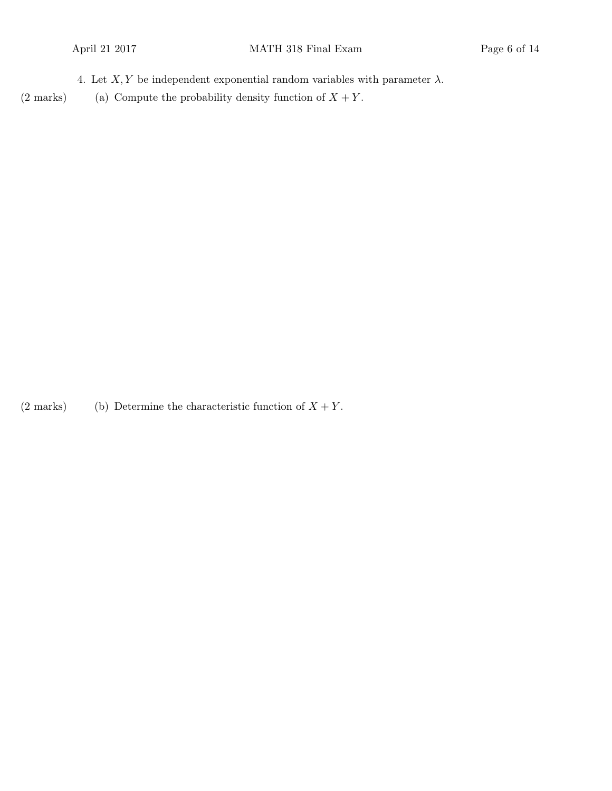4. Let  $X, Y$  be independent exponential random variables with parameter  $\lambda$ .

(2 marks) (a) Compute the probability density function of  $X + Y$ .

(2 marks) (b) Determine the characteristic function of  $X + Y$ .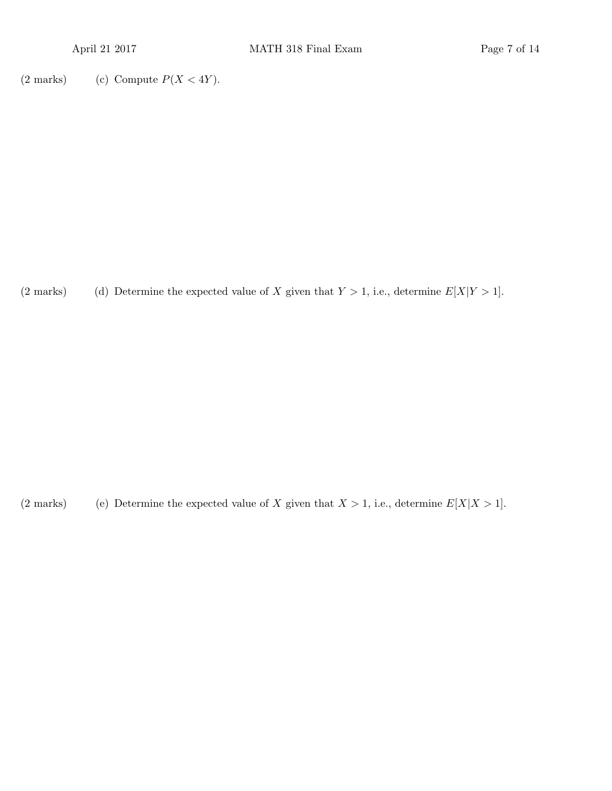(2 marks) (c) Compute  $P(X < 4Y)$ .

(2 marks) (d) Determine the expected value of X given that  $Y > 1$ , i.e., determine  $E[X|Y > 1]$ .

(2 marks) (e) Determine the expected value of X given that  $X > 1$ , i.e., determine  $E[X|X > 1]$ .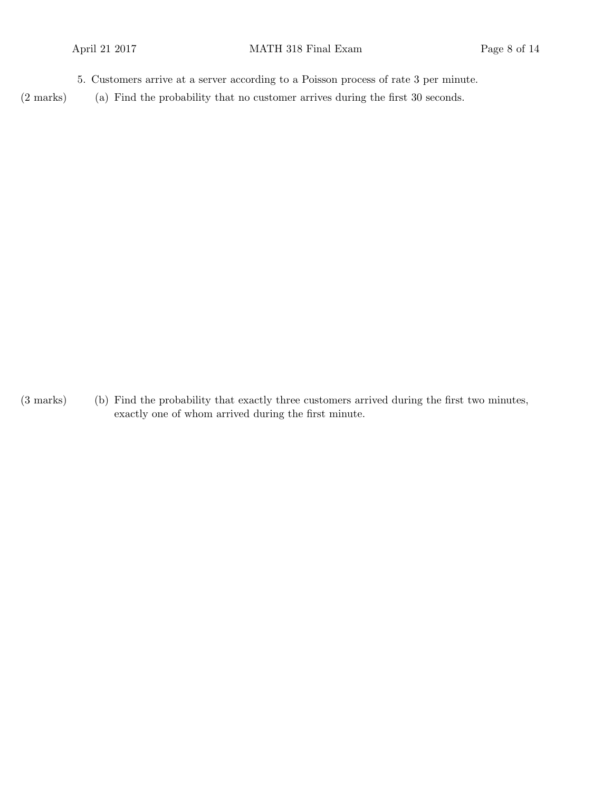- 5. Customers arrive at a server according to a Poisson process of rate 3 per minute.
- $(2 \text{ marks})$  (a) Find the probability that no customer arrives during the first 30 seconds.

(b)(3 marks) Find the probability that exactly three customers arrived during the first two minutes, exactly one of whom arrived during the first minute.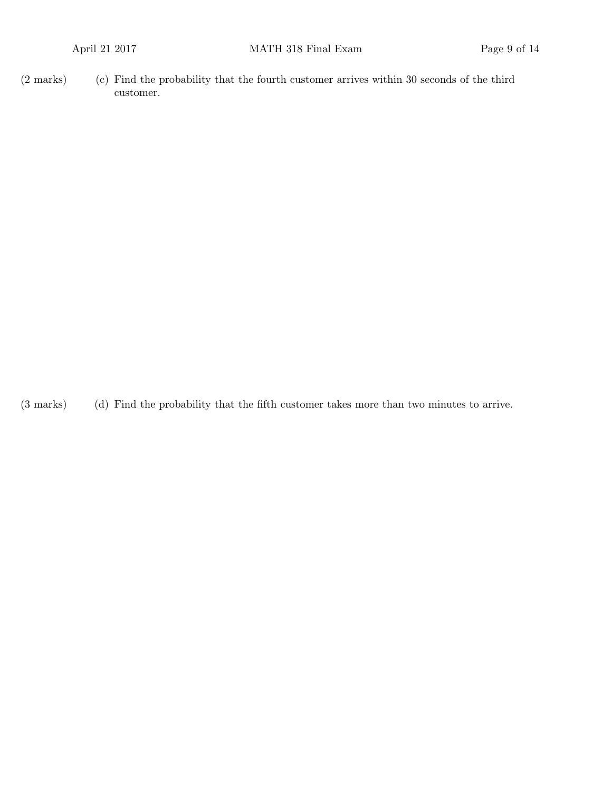$(2 \text{ marks})$   $\qquad$  (c) Find the probability that the fourth customer arrives within 30 seconds of the third customer.

(d)(3 marks) Find the probability that the fifth customer takes more than two minutes to arrive.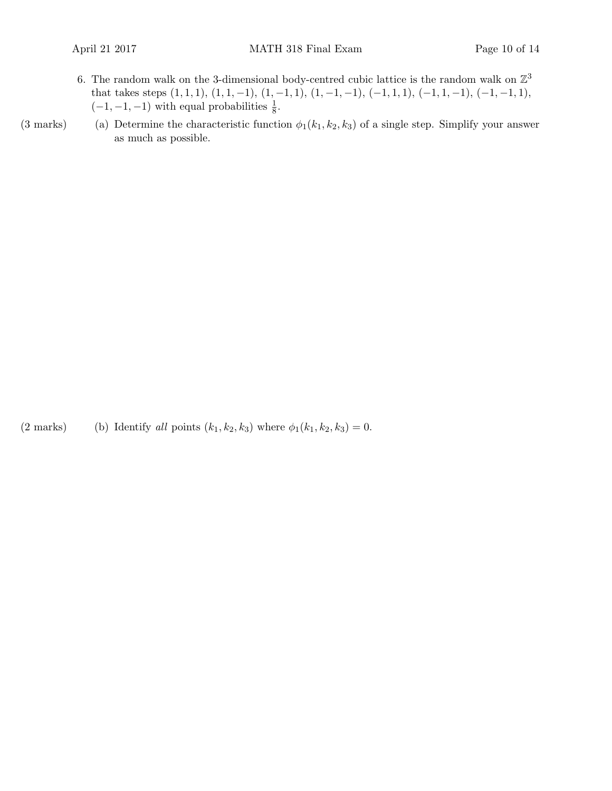- 6. The random walk on the 3-dimensional body-centred cubic lattice is the random walk on  $\mathbb{Z}^3$ that takes steps  $(1, 1, 1), (1, 1, -1), (1, -1, 1), (1, -1, -1), (-1, 1, 1), (-1, 1, -1), (-1, -1, 1),$  $(-1, -1, -1)$  with equal probabilities  $\frac{1}{8}$ .
- (3 marks) (a) Determine the characteristic function  $\phi_1(k_1, k_2, k_3)$  of a single step. Simplify your answer as much as possible.

(2 marks) (b) Identify all points  $(k_1, k_2, k_3)$  where  $\phi_1(k_1, k_2, k_3) = 0$ .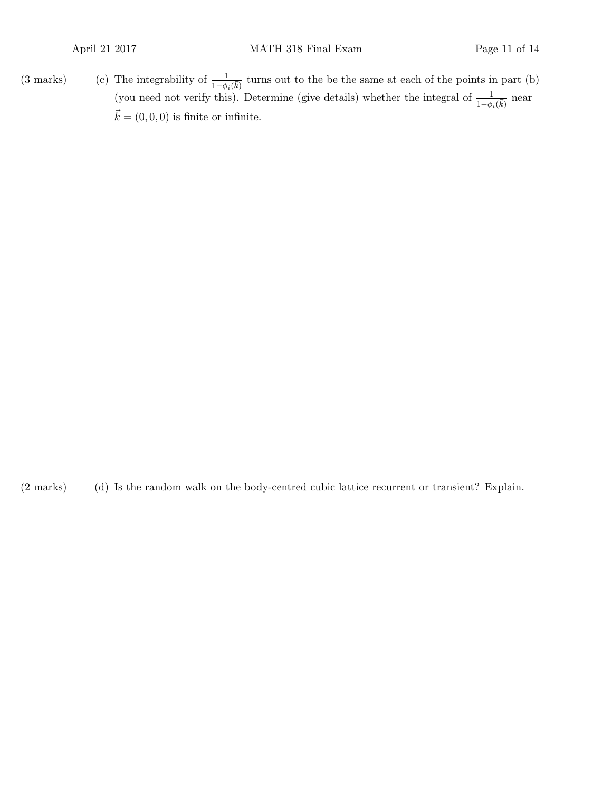(3 marks) (c) The integrability of  $\frac{1}{1-\phi_i(\vec{k})}$  turns out to the be the same at each of the points in part (b) (you need not verify this). Determine (give details) whether the integral of  $\frac{1}{1-\phi_i(\vec{k})}$  near  $\vec{k} = (0, 0, 0)$  is finite or infinite.

(2 marks) Is the random walk on the body-centred cubic lattice recurrent or transient? Explain.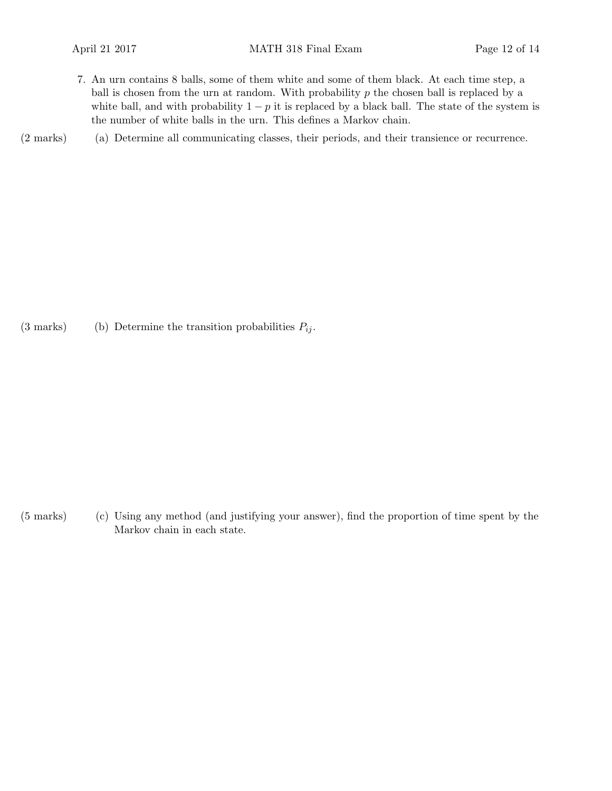- 7. An urn contains 8 balls, some of them white and some of them black. At each time step, a ball is chosen from the urn at random. With probability  $p$  the chosen ball is replaced by a white ball, and with probability  $1 - p$  it is replaced by a black ball. The state of the system is the number of white balls in the urn. This defines a Markov chain.
- (a)(2 marks) Determine all communicating classes, their periods, and their transience or recurrence.

(3 marks) (b) Determine the transition probabilities  $P_{ij}$ .

(c)(5 marks) Using any method (and justifying your answer), find the proportion of time spent by the Markov chain in each state.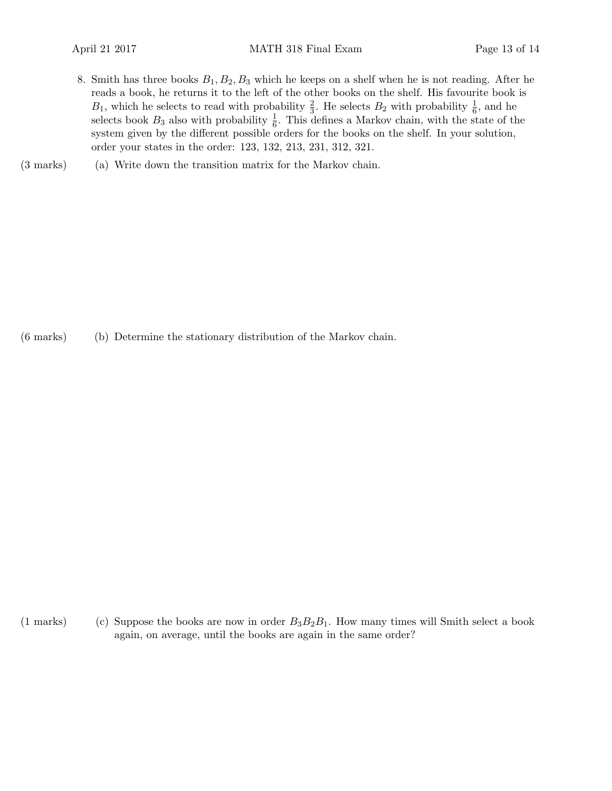- 8. Smith has three books  $B_1, B_2, B_3$  which he keeps on a shelf when he is not reading. After he reads a book, he returns it to the left of the other books on the shelf. His favourite book is  $B_1$ , which he selects to read with probability  $\frac{2}{3}$ . He selects  $B_2$  with probability  $\frac{1}{6}$ , and he selects book  $B_3$  also with probability  $\frac{1}{6}$ . This defines a Markov chain, with the state of the system given by the different possible orders for the books on the shelf. In your solution, order your states in the order: 123, 132, 213, 231, 312, 321.
- (3 marks) (a) Write down the transition matrix for the Markov chain.

(b)(6 marks) Determine the stationary distribution of the Markov chain.

(1 marks) (c) Suppose the books are now in order  $B_3B_2B_1$ . How many times will Smith select a book again, on average, until the books are again in the same order?